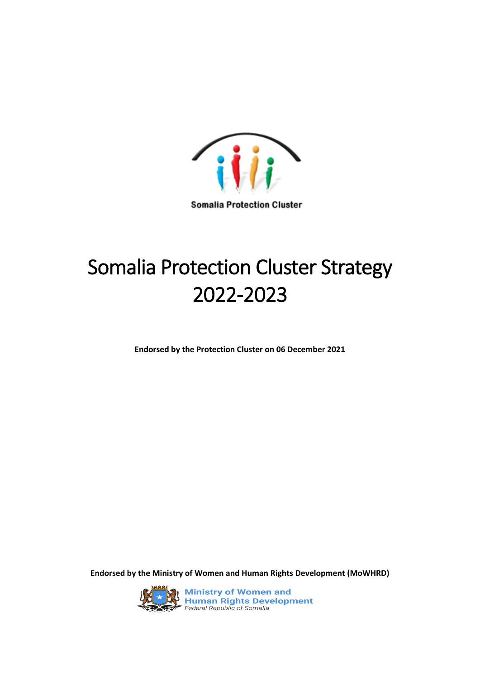

**Somalia Protection Cluster** 

# Somalia Protection Cluster Strategy 2022-2023

**Endorsed by the Protection Cluster on 06 December 2021**

**Endorsed by the Ministry of Women and Human Rights Development (MoWHRD)**



**Ministry of Women and<br>Human Rights Development**<br>Federal Republic of Somalia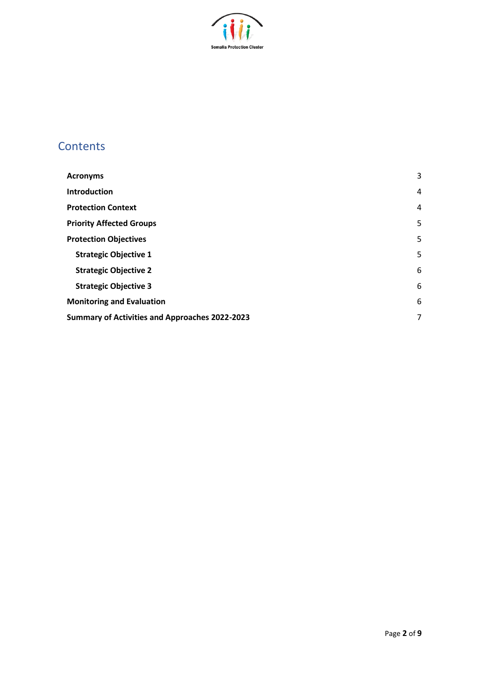

# **Contents**

| <b>Acronyms</b>                                       | 3              |
|-------------------------------------------------------|----------------|
| <b>Introduction</b>                                   | $\overline{4}$ |
| <b>Protection Context</b>                             | $\overline{4}$ |
| <b>Priority Affected Groups</b>                       | 5              |
| <b>Protection Objectives</b>                          | 5              |
| <b>Strategic Objective 1</b>                          | 5              |
| <b>Strategic Objective 2</b>                          | 6              |
| <b>Strategic Objective 3</b>                          | 6              |
| <b>Monitoring and Evaluation</b>                      | 6              |
| <b>Summary of Activities and Approaches 2022-2023</b> | 7              |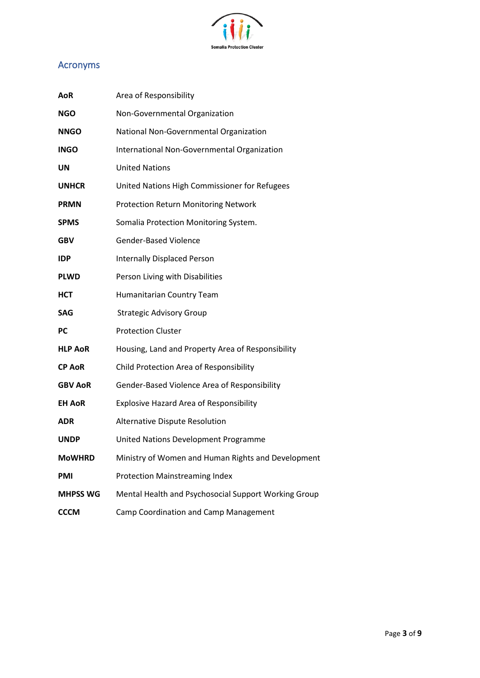

# <span id="page-2-0"></span>Acronyms

| <b>AoR</b>      | Area of Responsibility                               |
|-----------------|------------------------------------------------------|
| <b>NGO</b>      | Non-Governmental Organization                        |
| <b>NNGO</b>     | National Non-Governmental Organization               |
| <b>INGO</b>     | International Non-Governmental Organization          |
| UN              | <b>United Nations</b>                                |
| <b>UNHCR</b>    | United Nations High Commissioner for Refugees        |
| <b>PRMN</b>     | <b>Protection Return Monitoring Network</b>          |
| <b>SPMS</b>     | Somalia Protection Monitoring System.                |
| <b>GBV</b>      | <b>Gender-Based Violence</b>                         |
| <b>IDP</b>      | <b>Internally Displaced Person</b>                   |
| <b>PLWD</b>     | Person Living with Disabilities                      |
| <b>HCT</b>      | Humanitarian Country Team                            |
| <b>SAG</b>      | <b>Strategic Advisory Group</b>                      |
| <b>PC</b>       | <b>Protection Cluster</b>                            |
| <b>HLP AoR</b>  | Housing, Land and Property Area of Responsibility    |
| <b>CP AoR</b>   | Child Protection Area of Responsibility              |
| <b>GBV AoR</b>  | Gender-Based Violence Area of Responsibility         |
| <b>EH AoR</b>   | <b>Explosive Hazard Area of Responsibility</b>       |
| <b>ADR</b>      | Alternative Dispute Resolution                       |
| <b>UNDP</b>     | United Nations Development Programme                 |
| <b>MoWHRD</b>   | Ministry of Women and Human Rights and Development   |
| <b>PMI</b>      | <b>Protection Mainstreaming Index</b>                |
| <b>MHPSS WG</b> | Mental Health and Psychosocial Support Working Group |
| <b>CCCM</b>     | Camp Coordination and Camp Management                |
|                 |                                                      |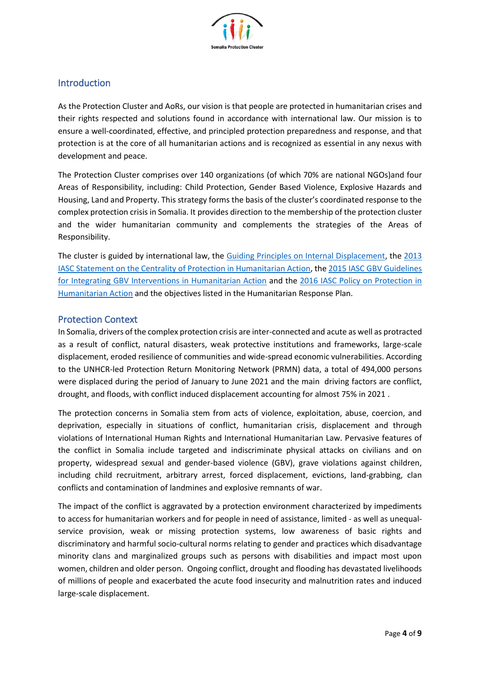

## <span id="page-3-0"></span>Introduction

As the Protection Cluster and AoRs, our vision is that people are protected in humanitarian crises and their rights respected and solutions found in accordance with international law. Our mission is to ensure a well-coordinated, effective, and principled protection preparedness and response, and that protection is at the core of all humanitarian actions and is recognized as essential in any nexus with development and peace.

The Protection Cluster comprises over 140 organizations (of which 70% are national NGOs)and four Areas of Responsibility, including: Child Protection, Gender Based Violence, Explosive Hazards and Housing, Land and Property. This strategy forms the basis of the cluster's coordinated response to the complex protection crisis in Somalia. It provides direction to the membership of the protection cluster and the wider humanitarian community and complements the strategies of the Areas of Responsibility.

The cluster is guided by international law, the [Guiding Principles on Internal Displacement,](https://www.internal-displacement.org/internal-displacement/guiding-principles-on-internal-displacement) the [2013](https://interagencystandingcommittee.org/system/files/the_centrality_of_protection_in_humanitarian_action_english_.pdf)  [IASC Statement on the Centrality of Protection in Humanitarian Action,](https://interagencystandingcommittee.org/system/files/the_centrality_of_protection_in_humanitarian_action_english_.pdf) th[e 2015 IASC GBV Guidelines](https://gbvguidelines.org/wp/wp-content/uploads/2015/09/2015-IASC-Gender-based-Violence-Guidelines_lo-res.pdf)  [for Integrating GBV Interventions in Humanitarian Action](https://gbvguidelines.org/wp/wp-content/uploads/2015/09/2015-IASC-Gender-based-Violence-Guidelines_lo-res.pdf) and the [2016 IASC Policy on Protection in](https://www.globalprotectioncluster.org/_assets/files/tools_and_guidance/IASC%20Guidance%20and%20Tools/iasc-policy-on-protection-in-humanitarian-action.pdf)  [Humanitarian Action](https://www.globalprotectioncluster.org/_assets/files/tools_and_guidance/IASC%20Guidance%20and%20Tools/iasc-policy-on-protection-in-humanitarian-action.pdf) and the objectives listed in the Humanitarian Response Plan.

#### <span id="page-3-1"></span>Protection Context

In Somalia, drivers of the complex protection crisis are inter-connected and acute as well as protracted as a result of conflict, natural disasters, weak protective institutions and frameworks, large-scale displacement, eroded resilience of communities and wide-spread economic vulnerabilities. According to the UNHCR-led Protection Return Monitoring Network (PRMN) data, a total of 494,000 persons were displaced during the period of January to June 2021 and the main driving factors are conflict, drought, and floods, with conflict induced displacement accounting for almost 75% in 2021 .

The protection concerns in Somalia stem from acts of violence, exploitation, abuse, coercion, and deprivation, especially in situations of conflict, humanitarian crisis, displacement and through violations of International Human Rights and International Humanitarian Law. Pervasive features of the conflict in Somalia include targeted and indiscriminate physical attacks on civilians and on property, widespread sexual and gender-based violence (GBV), grave violations against children, including child recruitment, arbitrary arrest, forced displacement, evictions, land-grabbing, clan conflicts and contamination of landmines and explosive remnants of war.

The impact of the conflict is aggravated by a protection environment characterized by impediments to access for humanitarian workers and for people in need of assistance, limited - as well as unequalservice provision, weak or missing protection systems, low awareness of basic rights and discriminatory and harmful socio-cultural norms relating to gender and practices which disadvantage minority clans and marginalized groups such as persons with disabilities and impact most upon women, children and older person. Ongoing conflict, drought and flooding has devastated livelihoods of millions of people and exacerbated the acute food insecurity and malnutrition rates and induced large-scale displacement.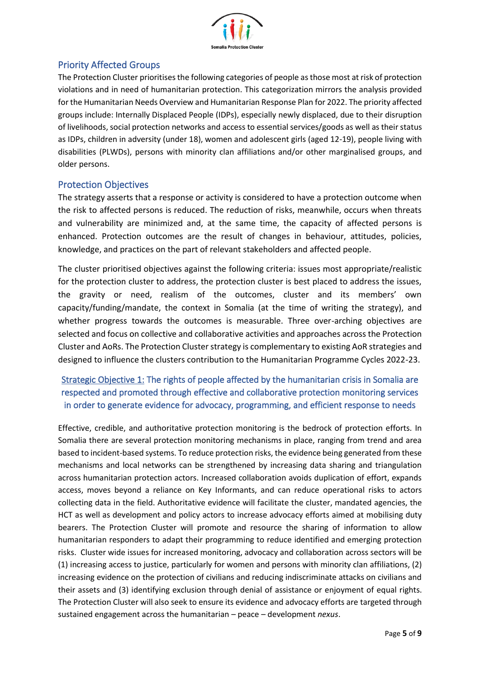

## <span id="page-4-0"></span>Priority Affected Groups

The Protection Cluster prioritises the following categories of people as those most at risk of protection violations and in need of humanitarian protection. This categorization mirrors the analysis provided for the Humanitarian Needs Overview and Humanitarian Response Plan for 2022. The priority affected groups include: Internally Displaced People (IDPs), especially newly displaced, due to their disruption of livelihoods, social protection networks and access to essential services/goods as well as their status as IDPs, children in adversity (under 18), women and adolescent girls (aged 12-19), people living with disabilities (PLWDs), persons with minority clan affiliations and/or other marginalised groups, and older persons.

#### <span id="page-4-1"></span>Protection Objectives

The strategy asserts that a response or activity is considered to have a protection outcome when the risk to affected persons is reduced. The reduction of risks, meanwhile, occurs when threats and vulnerability are minimized and, at the same time, the capacity of affected persons is enhanced. Protection outcomes are the result of changes in behaviour, attitudes, policies, knowledge, and practices on the part of relevant stakeholders and affected people.

The cluster prioritised objectives against the following criteria: issues most appropriate/realistic for the protection cluster to address, the protection cluster is best placed to address the issues, the gravity or need, realism of the outcomes, cluster and its members' own capacity/funding/mandate, the context in Somalia (at the time of writing the strategy), and whether progress towards the outcomes is measurable. Three over-arching objectives are selected and focus on collective and collaborative activities and approaches across the Protection Cluster and AoRs. The Protection Cluster strategy is complementary to existing AoR strategies and designed to influence the clusters contribution to the Humanitarian Programme Cycles 2022-23.

# <span id="page-4-2"></span>Strategic Objective 1: The rights of people affected by the humanitarian crisis in Somalia are respected and promoted through effective and collaborative protection monitoring services in order to generate evidence for advocacy, programming, and efficient response to needs

Effective, credible, and authoritative protection monitoring is the bedrock of protection efforts. In Somalia there are several protection monitoring mechanisms in place, ranging from trend and area based to incident-based systems. To reduce protection risks, the evidence being generated from these mechanisms and local networks can be strengthened by increasing data sharing and triangulation across humanitarian protection actors. Increased collaboration avoids duplication of effort, expands access, moves beyond a reliance on Key Informants, and can reduce operational risks to actors collecting data in the field. Authoritative evidence will facilitate the cluster, mandated agencies, the HCT as well as development and policy actors to increase advocacy efforts aimed at mobilising duty bearers. The Protection Cluster will promote and resource the sharing of information to allow humanitarian responders to adapt their programming to reduce identified and emerging protection risks. Cluster wide issues for increased monitoring, advocacy and collaboration across sectors will be (1) increasing access to justice, particularly for women and persons with minority clan affiliations, (2) increasing evidence on the protection of civilians and reducing indiscriminate attacks on civilians and their assets and (3) identifying exclusion through denial of assistance or enjoyment of equal rights. The Protection Cluster will also seek to ensure its evidence and advocacy efforts are targeted through sustained engagement across the humanitarian – peace – development *nexus*.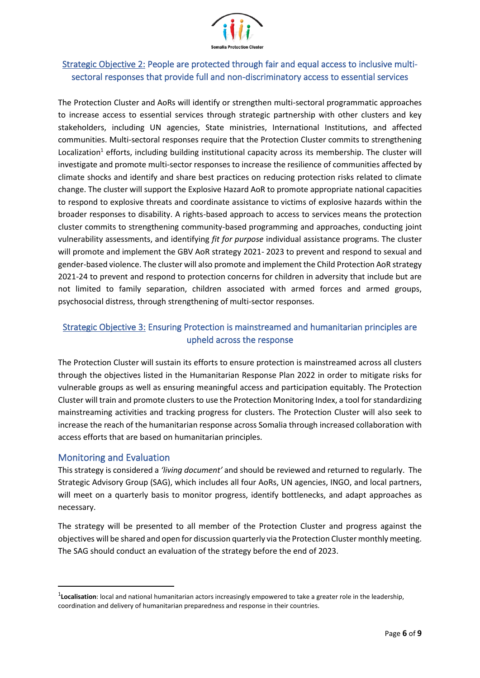

# <span id="page-5-0"></span>Strategic Objective 2: People are protected through fair and equal access to inclusive multisectoral responses that provide full and non-discriminatory access to essential services

The Protection Cluster and AoRs will identify or strengthen multi-sectoral programmatic approaches to increase access to essential services through strategic partnership with other clusters and key stakeholders, including UN agencies, State ministries, International Institutions, and affected communities. Multi-sectoral responses require that the Protection Cluster commits to strengthening Localization<sup>1</sup> efforts, including building institutional capacity across its membership. The cluster will investigate and promote multi-sector responses to increase the resilience of communities affected by climate shocks and identify and share best practices on reducing protection risks related to climate change. The cluster will support the Explosive Hazard AoR to promote appropriate national capacities to respond to explosive threats and coordinate assistance to victims of explosive hazards within the broader responses to disability. A rights-based approach to access to services means the protection cluster commits to strengthening community-based programming and approaches, conducting joint vulnerability assessments, and identifying *fit for purpose* individual assistance programs. The cluster will promote and implement the GBV AoR strategy 2021- 2023 to prevent and respond to sexual and gender-based violence. The cluster will also promote and implement the Child Protection AoR strategy 2021-24 to prevent and respond to protection concerns for children in adversity that include but are not limited to family separation, children associated with armed forces and armed groups, psychosocial distress, through strengthening of multi-sector responses.

## <span id="page-5-1"></span>Strategic Objective 3: Ensuring Protection is mainstreamed and humanitarian principles are upheld across the response

The Protection Cluster will sustain its efforts to ensure protection is mainstreamed across all clusters through the objectives listed in the Humanitarian Response Plan 2022 in order to mitigate risks for vulnerable groups as well as ensuring meaningful access and participation equitably. The Protection Cluster will train and promote clusters to use the Protection Monitoring Index, a tool for standardizing mainstreaming activities and tracking progress for clusters. The Protection Cluster will also seek to increase the reach of the humanitarian response across Somalia through increased collaboration with access efforts that are based on humanitarian principles.

#### <span id="page-5-2"></span>Monitoring and Evaluation

This strategy is considered a *'living document'* and should be reviewed and returned to regularly. The Strategic Advisory Group (SAG), which includes all four AoRs, UN agencies, INGO, and local partners, will meet on a quarterly basis to monitor progress, identify bottlenecks, and adapt approaches as necessary.

The strategy will be presented to all member of the Protection Cluster and progress against the objectives will be shared and open for discussion quarterly via the Protection Cluster monthly meeting. The SAG should conduct an evaluation of the strategy before the end of 2023.

<sup>&</sup>lt;sup>1</sup>Localisation: local and national humanitarian actors increasingly empowered to take a greater role in the leadership, coordination and delivery of humanitarian preparedness and response in their countries.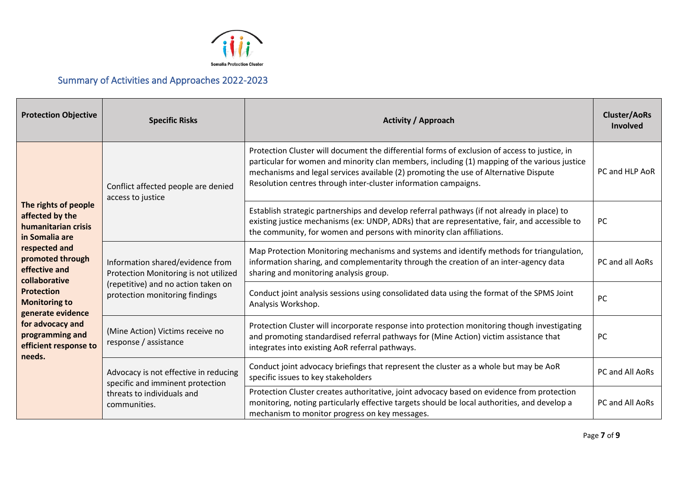

# Summary of Activities and Approaches 2022-2023

<span id="page-6-0"></span>

| <b>Protection Objective</b>                                                                                                                                                                                                                                                                         | <b>Specific Risks</b>                                                                                                                              | <b>Activity / Approach</b>                                                                                                                                                                                                                                                                                                                               | <b>Cluster/AoRs</b><br>Involved |
|-----------------------------------------------------------------------------------------------------------------------------------------------------------------------------------------------------------------------------------------------------------------------------------------------------|----------------------------------------------------------------------------------------------------------------------------------------------------|----------------------------------------------------------------------------------------------------------------------------------------------------------------------------------------------------------------------------------------------------------------------------------------------------------------------------------------------------------|---------------------------------|
| The rights of people<br>affected by the<br>humanitarian crisis<br>in Somalia are<br>respected and<br>promoted through<br>effective and<br>collaborative<br><b>Protection</b><br><b>Monitoring to</b><br>generate evidence<br>for advocacy and<br>programming and<br>efficient response to<br>needs. | Conflict affected people are denied<br>access to justice                                                                                           | Protection Cluster will document the differential forms of exclusion of access to justice, in<br>particular for women and minority clan members, including (1) mapping of the various justice<br>mechanisms and legal services available (2) promoting the use of Alternative Dispute<br>Resolution centres through inter-cluster information campaigns. | PC and HLP AoR                  |
|                                                                                                                                                                                                                                                                                                     |                                                                                                                                                    | Establish strategic partnerships and develop referral pathways (if not already in place) to<br>existing justice mechanisms (ex: UNDP, ADRs) that are representative, fair, and accessible to<br>the community, for women and persons with minority clan affiliations.                                                                                    | PC                              |
|                                                                                                                                                                                                                                                                                                     | Information shared/evidence from<br>Protection Monitoring is not utilized<br>(repetitive) and no action taken on<br>protection monitoring findings | Map Protection Monitoring mechanisms and systems and identify methods for triangulation,<br>information sharing, and complementarity through the creation of an inter-agency data<br>sharing and monitoring analysis group.                                                                                                                              | PC and all AoRs                 |
|                                                                                                                                                                                                                                                                                                     |                                                                                                                                                    | Conduct joint analysis sessions using consolidated data using the format of the SPMS Joint<br>Analysis Workshop.                                                                                                                                                                                                                                         | PC                              |
|                                                                                                                                                                                                                                                                                                     | (Mine Action) Victims receive no<br>response / assistance                                                                                          | Protection Cluster will incorporate response into protection monitoring though investigating<br>and promoting standardised referral pathways for (Mine Action) victim assistance that<br>integrates into existing AoR referral pathways.                                                                                                                 | <b>PC</b>                       |
|                                                                                                                                                                                                                                                                                                     | Advocacy is not effective in reducing<br>specific and imminent protection<br>threats to individuals and<br>communities.                            | Conduct joint advocacy briefings that represent the cluster as a whole but may be AoR<br>specific issues to key stakeholders                                                                                                                                                                                                                             | PC and All AoRs                 |
|                                                                                                                                                                                                                                                                                                     |                                                                                                                                                    | Protection Cluster creates authoritative, joint advocacy based on evidence from protection<br>monitoring, noting particularly effective targets should be local authorities, and develop a<br>mechanism to monitor progress on key messages.                                                                                                             | PC and All AoRs                 |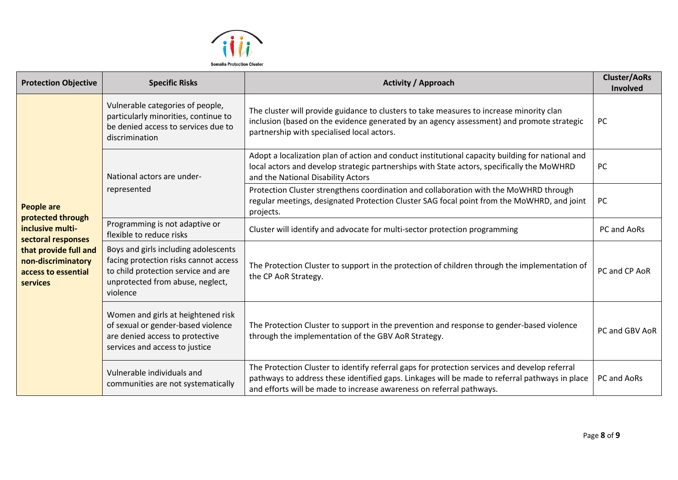

| <b>Protection Objective</b>                                                    | <b>Specific Risks</b>                                                                                                                                                | <b>Activity / Approach</b>                                                                                                                                                                                                                                              | <b>Cluster/AoRs</b><br>Involved |
|--------------------------------------------------------------------------------|----------------------------------------------------------------------------------------------------------------------------------------------------------------------|-------------------------------------------------------------------------------------------------------------------------------------------------------------------------------------------------------------------------------------------------------------------------|---------------------------------|
| <b>People are</b>                                                              | Vulnerable categories of people,<br>particularly minorities, continue to<br>be denied access to services due to<br>discrimination                                    | The cluster will provide guidance to clusters to take measures to increase minority clan<br>inclusion (based on the evidence generated by an agency assessment) and promote strategic<br>partnership with specialised local actors.                                     | <b>PC</b>                       |
|                                                                                | National actors are under-<br>represented<br>Programming is not adaptive or<br>flexible to reduce risks                                                              | Adopt a localization plan of action and conduct institutional capacity building for national and<br>local actors and develop strategic partnerships with State actors, specifically the MoWHRD<br>and the National Disability Actors                                    | PC                              |
|                                                                                |                                                                                                                                                                      | Protection Cluster strengthens coordination and collaboration with the MoWHRD through<br>regular meetings, designated Protection Cluster SAG focal point from the MoWHRD, and joint<br>projects.                                                                        | <b>PC</b>                       |
| protected through<br>inclusive multi-<br>sectoral responses                    |                                                                                                                                                                      | Cluster will identify and advocate for multi-sector protection programming                                                                                                                                                                                              | PC and AoRs                     |
| that provide full and<br>non-discriminatory<br>access to essential<br>services | Boys and girls including adolescents<br>facing protection risks cannot access<br>to child protection service and are<br>unprotected from abuse, neglect,<br>violence | The Protection Cluster to support in the protection of children through the implementation of<br>the CP AoR Strategy.                                                                                                                                                   | PC and CP AoR                   |
|                                                                                | Women and girls at heightened risk<br>of sexual or gender-based violence<br>are denied access to protective<br>services and access to justice                        | The Protection Cluster to support in the prevention and response to gender-based violence<br>through the implementation of the GBV AoR Strategy.                                                                                                                        | PC and GBV AoR                  |
|                                                                                | Vulnerable individuals and<br>communities are not systematically                                                                                                     | The Protection Cluster to identify referral gaps for protection services and develop referral<br>pathways to address these identified gaps. Linkages will be made to referral pathways in place<br>and efforts will be made to increase awareness on referral pathways. | PC and AoRs                     |